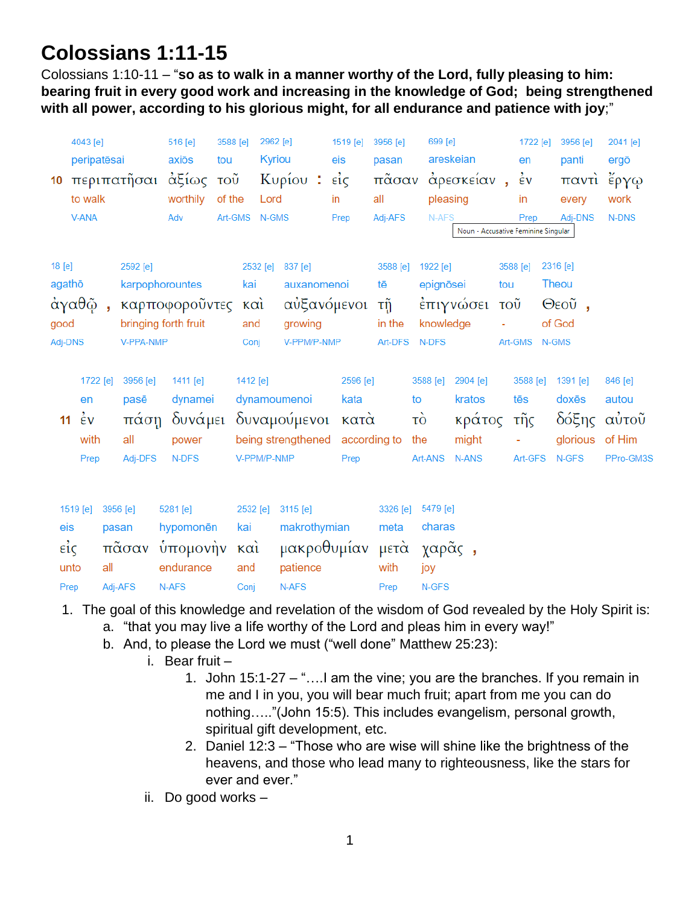# **Colossians 1:11-15**

Colossians 1:10-11 – "**so as to walk in a manner worthy of the Lord, fully pleasing to him: bearing fruit in every good work and increasing in the knowledge of God; being strengthened with all power, according to his glorious might, for all endurance and patience with joy**;"

|         | 4043 [e]                   |          |           | 516 [e]              | 3588 [e] | 2962 [e]      |                                 |     | 1519 [e]    | 3956 [e] |               | 699 [e]   |                                     |                           | 1722 [e]           |       | 3956 [e]      | 2041 [e]  |
|---------|----------------------------|----------|-----------|----------------------|----------|---------------|---------------------------------|-----|-------------|----------|---------------|-----------|-------------------------------------|---------------------------|--------------------|-------|---------------|-----------|
|         | peripatēsai<br>περιπατῆσαι |          | axiōs     | tou                  | Kyriou   |               |                                 | eis | pasan       |          |               | areskeian |                                     | en                        |                    | panti | ergō          |           |
| 10      |                            |          |           | αξίως                | τοῦ      |               | Κυρίου:                         |     | $ε$ ίς      | πᾶσαν    |               |           | άρεσκείαν,                          |                           | $\dot{\epsilon}$ v |       | παντι έργω    |           |
|         | to walk<br>V-ANA           |          |           | worthily             | of the   | Lord          |                                 |     | in          | all      |               | pleasing  |                                     |                           | in                 |       | every         | work      |
|         |                            |          |           | Adv                  |          | Art-GMS N-GMS |                                 |     | Prep        | Adj-AFS  |               | N-AFS     |                                     | Prep                      |                    |       | Adj-DNS       | N-DNS     |
|         |                            |          |           |                      |          |               |                                 |     |             |          |               |           | Noun - Accusative Feminine Singular |                           |                    |       |               |           |
| 18 [e]  |                            |          | 2592 [e]  |                      |          | 2532 [e]      | 837 [e]                         |     |             | 3588 [e] |               | 1922 [e]  |                                     |                           | 3588 [e]           |       | 2316 [e]      |           |
| agathō  |                            |          |           | karpophorountes      |          | kai           | auxanomenoi                     |     |             | tē       |               | epignōsei |                                     | tou                       |                    |       | Theou         |           |
|         | άγαθῷ,                     |          |           | καρποφοροῦντες και   |          |               |                                 |     | αὐξανόμενοι | τñ       |               |           | έπιγνώσει                           | $\overline{\mathrm{TOU}}$ |                    |       | $\Theta$ εοῦ, |           |
| good    |                            |          |           | bringing forth fruit |          | and           | growing                         |     |             | in the   |               | knowledge |                                     |                           |                    |       | of God        |           |
| Adj-DNS |                            |          | V-PPA-NMP |                      |          | Conj          | V-PPM/P-NMP                     |     |             | Art-DFS  |               | N-DFS     |                                     |                           | Art-GMS N-GMS      |       |               |           |
|         |                            |          |           |                      |          |               |                                 |     |             |          |               |           |                                     |                           |                    |       |               |           |
|         | 1722 [e]                   |          | 3956 [e]  | 1411 [e]             |          | 1412 [e]      |                                 |     | 2596 [e]    |          |               | 3588 [e]  | 2904 [e]                            |                           | 3588 [e]           |       | 1391 [e]      | 846 [e]   |
|         | en                         |          | pasē      | dynamei              |          |               | dynamoumenoi                    |     | kata        |          | to            |           | kratos                              |                           | tēs                |       | doxēs         | autou     |
| 11      | $\epsilon$ v               |          | πάση      |                      |          |               | δυνάμει δυναμούμενοι            |     | κατὰ        |          | τò            |           | κράτος                              |                           | τῆς                |       | δόξης         | αύτοῦ     |
|         | with                       |          | all       | power                |          |               | being strengthened according to |     |             |          | the           |           | might                               |                           |                    |       | glorious      | of Him    |
|         | Prep                       |          | Adj-DFS   | N-DFS                |          | V-PPM/P-NMP   |                                 |     | Prep        |          | Art-ANS N-ANS |           |                                     |                           | Art-GFS            |       | N-GFS         | PPro-GM3S |
|         |                            |          |           |                      |          |               |                                 |     |             |          |               |           |                                     |                           |                    |       |               |           |
|         | 1519 [e]                   | 3956 [e] |           | 5281 [e]             |          | 2532 [e]      | 3115 [e]                        |     |             | 3326 [e] |               | 5479 [e]  |                                     |                           |                    |       |               |           |
| eis     |                            | pasan    |           | hypomonēn            |          | kai           | makrothymian                    |     |             | meta     |               | charas    |                                     |                           |                    |       |               |           |
|         | είς                        |          | πᾶσαν     | υπομονήν             |          | καὶ           |                                 |     | μακροθυμίαν | μετὰ     |               | χαρᾶς,    |                                     |                           |                    |       |               |           |
|         | unto                       | all      |           | endurance            |          | and           | patience                        |     |             | with     |               | joy       |                                     |                           |                    |       |               |           |
|         | Prep                       | Adj-AFS  |           | N-AFS                |          | Conj          | N-AFS                           |     |             | Prep     |               | N-GFS     |                                     |                           |                    |       |               |           |

- 1. The goal of this knowledge and revelation of the wisdom of God revealed by the Holy Spirit is:
	- a. "that you may live a life worthy of the Lord and pleas him in every way!"
	- b. And, to please the Lord we must ("well done" Matthew 25:23):
		- i. Bear fruit
			- 1. John 15:1-27 "….I am the vine; you are the branches. If you remain in me and I in you, you will bear much fruit; apart from me you can do nothing….."(John 15:5). This includes evangelism, personal growth, spiritual gift development, etc.
			- 2. Daniel 12:3 "Those who are wise will shine like the brightness of the heavens, and those who lead many to righteousness, like the stars for ever and ever."
		- ii. Do good works –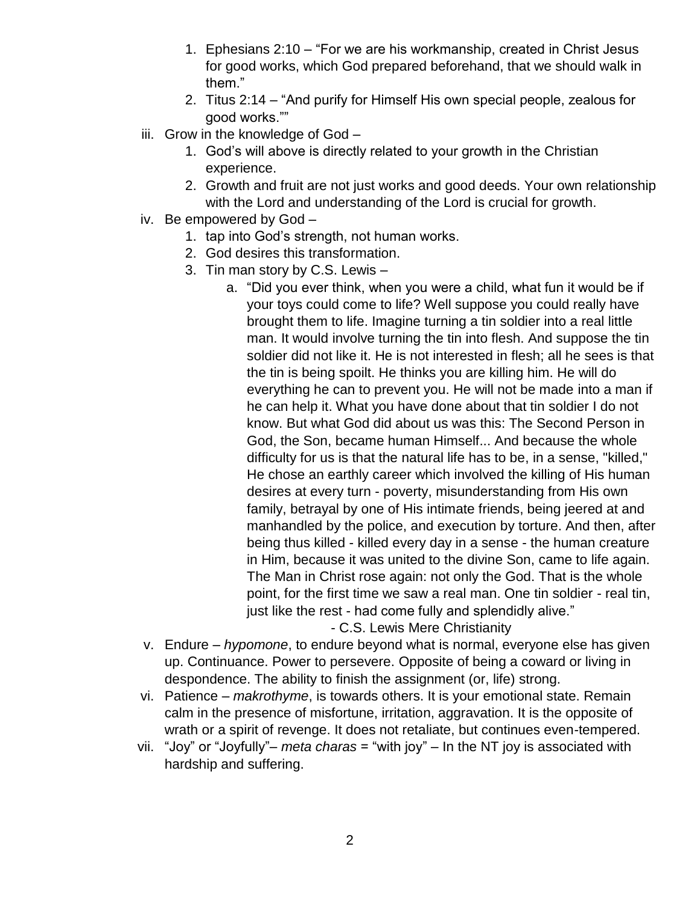- 1. Ephesians 2:10 "For we are his workmanship, created in Christ Jesus for good works, which God prepared beforehand, that we should walk in them."
- 2. Titus 2:14 "And purify for Himself His own special people, zealous for good works.""
- iii. Grow in the knowledge of God
	- 1. God's will above is directly related to your growth in the Christian experience.
	- 2. Growth and fruit are not just works and good deeds. Your own relationship with the Lord and understanding of the Lord is crucial for growth.
- iv. Be empowered by God
	- 1. tap into God's strength, not human works.
	- 2. God desires this transformation.
	- 3. Tin man story by C.S. Lewis
		- a. "Did you ever think, when you were a child, what fun it would be if your toys could come to life? Well suppose you could really have brought them to life. Imagine turning a tin soldier into a real little man. It would involve turning the tin into flesh. And suppose the tin soldier did not like it. He is not interested in flesh; all he sees is that the tin is being spoilt. He thinks you are killing him. He will do everything he can to prevent you. He will not be made into a man if he can help it. What you have done about that tin soldier I do not know. But what God did about us was this: The Second Person in God, the Son, became human Himself... And because the whole difficulty for us is that the natural life has to be, in a sense, "killed," He chose an earthly career which involved the killing of His human desires at every turn - poverty, misunderstanding from His own family, betrayal by one of His intimate friends, being jeered at and manhandled by the police, and execution by torture. And then, after being thus killed - killed every day in a sense - the human creature in Him, because it was united to the divine Son, came to life again. The Man in Christ rose again: not only the God. That is the whole point, for the first time we saw a real man. One tin soldier - real tin, just like the rest - had come fully and splendidly alive."
			- C.S. Lewis Mere Christianity
- v. Endure *hypomone*, to endure beyond what is normal, everyone else has given up. Continuance. Power to persevere. Opposite of being a coward or living in despondence. The ability to finish the assignment (or, life) strong.
- vi. Patience *makrothyme*, is towards others. It is your emotional state. Remain calm in the presence of misfortune, irritation, aggravation. It is the opposite of wrath or a spirit of revenge. It does not retaliate, but continues even-tempered.
- vii. "Joy" or "Joyfully"– *meta charas* = "with joy" In the NT joy is associated with hardship and suffering.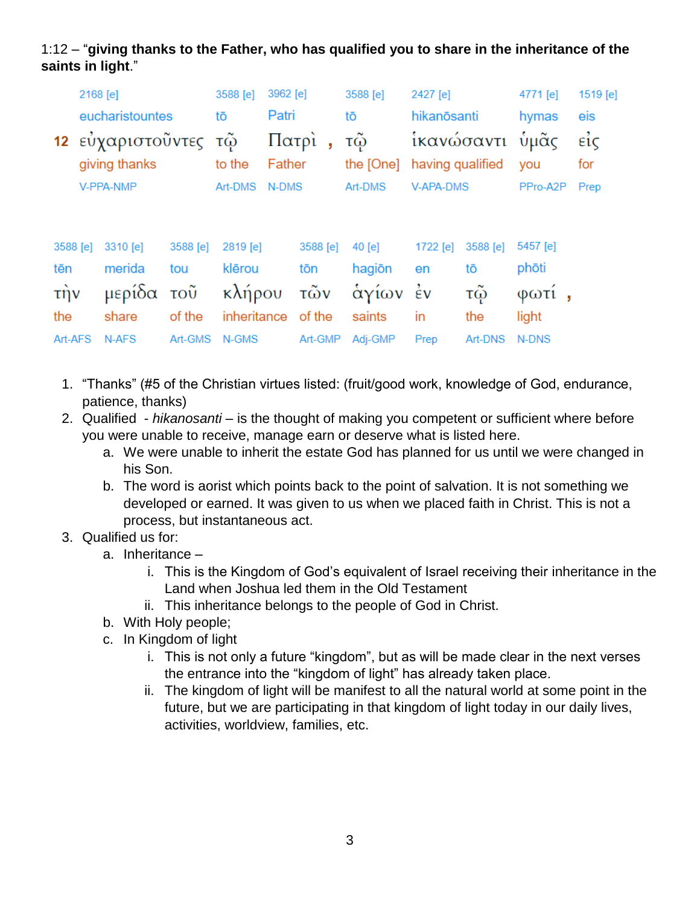## 1:12 – "**giving thanks to the Father, who has qualified you to share in the inheritance of the saints in light**."

|                             | 2168 [e]<br>eucharistountes |                      |          | 3588 [e]    | 3962 [e]         |          | 3588 [e]  | 2427 [e]         |            | 4771 [e] | 1519 [e]            |
|-----------------------------|-----------------------------|----------------------|----------|-------------|------------------|----------|-----------|------------------|------------|----------|---------------------|
|                             |                             |                      |          | tō          | Patri            |          | tō        | hikanōsanti      |            | hymas    | eis                 |
|                             |                             | 12 εὐχαριστοῦντες τῷ |          |             | Πατρί,<br>Father |          | τῷ        |                  | ἱκανώσαντι | ὑμᾶς     | $\vec{\epsilon}$ ic |
|                             |                             | giving thanks        |          | to the      |                  |          | the [One] | having qualified |            | you      | for                 |
|                             | V-PPA-NMP                   |                      |          | Art-DMS     | N-DMS            |          | Art-DMS   | <b>V-APA-DMS</b> |            | PPro-A2P | Prep                |
|                             |                             |                      |          |             |                  |          |           |                  |            |          |                     |
|                             |                             |                      |          |             |                  |          |           |                  |            |          |                     |
| 3588 [e]                    |                             | 3310 [e]             | 3588 [e] | 2819 [e]    |                  | 3588 [e] | $40$ [e]  | 1722 [e]         | 3588 [e]   | 5457 [e] |                     |
| tēn                         |                             | merida               | tou      | klērou      |                  | tōn      | hagiōn    | en               | tō         | phōti    |                     |
| $\overrightarrow{\text{t}}$ |                             | μερίδα τοῦ           |          | κλήρου      |                  | τῶν      | άγίων     | $\frac{1}{2}v$   | τώ         | φωτι     |                     |
| the                         |                             | share                | of the   | inheritance |                  | of the   | saints    | in               | the        | light    |                     |
| Art-AFS                     |                             | N-AFS                | Art-GMS  | N-GMS       |                  | Art-GMP  | Adj-GMP   | Prep             | Art-DNS    | N-DNS    |                     |

- 1. "Thanks" (#5 of the Christian virtues listed: (fruit/good work, knowledge of God, endurance, patience, thanks)
- 2. Qualified *hikanosanti* is the thought of making you competent or sufficient where before you were unable to receive, manage earn or deserve what is listed here.
	- a. We were unable to inherit the estate God has planned for us until we were changed in his Son.
	- b. The word is aorist which points back to the point of salvation. It is not something we developed or earned. It was given to us when we placed faith in Christ. This is not a process, but instantaneous act.
- 3. Qualified us for:
	- a. Inheritance
		- i. This is the Kingdom of God's equivalent of Israel receiving their inheritance in the Land when Joshua led them in the Old Testament
		- ii. This inheritance belongs to the people of God in Christ.
	- b. With Holy people;
	- c. In Kingdom of light
		- i. This is not only a future "kingdom", but as will be made clear in the next verses the entrance into the "kingdom of light" has already taken place.
		- ii. The kingdom of light will be manifest to all the natural world at some point in the future, but we are participating in that kingdom of light today in our daily lives, activities, worldview, families, etc.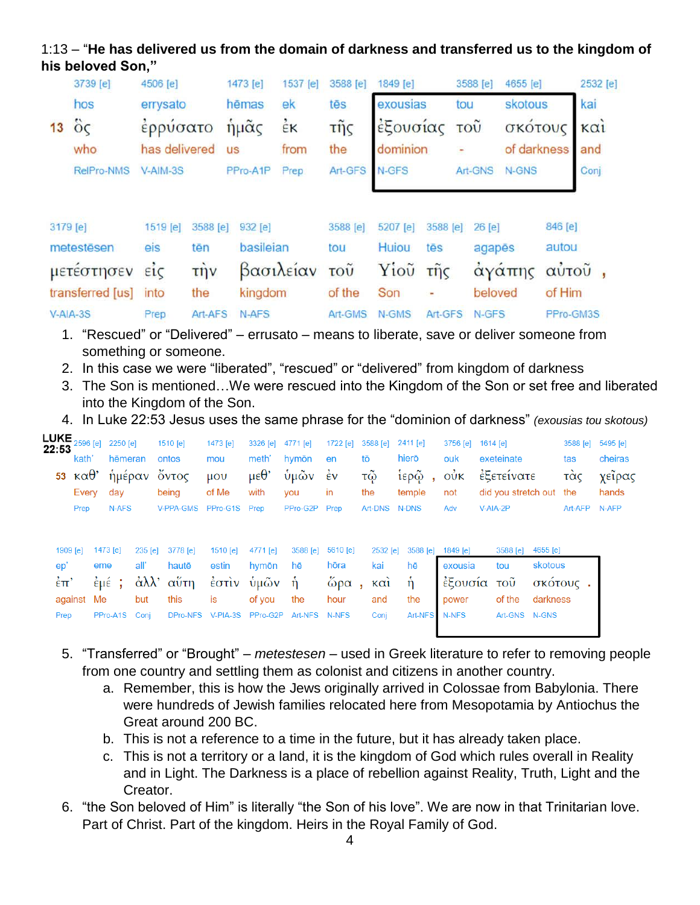## 1:13 – "**He has delivered us from the domain of darkness and transferred us to the kingdom of his beloved Son,"**

|                  | 3739 [e]   | 4506 [e]                  |          | 1473 [e]  | 1537 [e]  | 3588 [e]                  | 1849 [e]                  |                  | 3588 [e]                    | 4655 [e]    | 2532 [e] |             |  |
|------------------|------------|---------------------------|----------|-----------|-----------|---------------------------|---------------------------|------------------|-----------------------------|-------------|----------|-------------|--|
|                  | hos        | errysato                  |          | hēmas     | ek        | tēs                       | exousias                  |                  | tou                         | skotous     |          | kai         |  |
| 13               | $\ddot{o}$ | ερρυσατο<br>has delivered |          | ήμας      | έĸ        | $\tilde{\mathsf{trig}}$   | εξουσίας<br>dominion<br>۰ |                  | $\overline{10}\overline{0}$ |             | σκοτους  | $K\alpha i$ |  |
|                  | who        |                           |          | <b>US</b> | from      | the                       |                           |                  |                             | of darkness |          | and         |  |
|                  | RelPro-NMS | V-AIM-3S                  |          | PPro-A1P  | Prep      | Art-GFS                   | N-GFS                     |                  | Art-GNS                     | N-GNS       |          | Conj        |  |
|                  | 3179 [e]   | 1519 [e]                  | 3588 [e] | 932 [e]   |           | 3588 [e]                  | 5207 [e]                  | 3588 [e]         | 26 [e]                      |             | 846 [e]  |             |  |
|                  | metestēsen | eis                       | tēn      | basileian |           | tou                       | Huiou                     | tēs              | agapēs                      |             | autou    |             |  |
|                  | μετεστησεν | EIC                       | τὴν      |           | βασιλείαν | $\overline{\mathrm{TOU}}$ | Yiou                      | $\tilde{\pi}$ nc |                             | άγάπης      |          | αύτοῦ,      |  |
| transferred [us] |            | into                      | the      | kingdom   |           | of the                    | Son                       | ۰                | beloved                     |             | of Him   |             |  |
| $V-AIA-3S$       |            | Art-AFS<br>Prep           |          | N-AFS     |           | Art-GMS                   | N-GMS                     | Art-GFS          |                             | N-GFS       |          | PPro-GM3S   |  |

- 1. "Rescued" or "Delivered" errusato means to liberate, save or deliver someone from something or someone.
- 2. In this case we were "liberated", "rescued" or "delivered" from kingdom of darkness
- 3. The Son is mentioned…We were rescued into the Kingdom of the Son or set free and liberated into the Kingdom of the Son.
- 4. In Luke 22:53 Jesus uses the same phrase for the "dominion of darkness" *(exousias tou skotous)*

| <b>LUKE<br/>22:53</b>    | 2596 [e]<br>kath'      |          | 2250 [e]<br>hēmeran |         | 1510 [e]<br>ontos | 1473 [e]<br>mou                        | 3326 [e]<br>meth'                | 4771 [e]<br>hymōn | 1722 $[e]$<br>en          | 3588 [e]<br>tō | $2411$ [e]<br>hierō | 3756 [e]<br>ouk  | 1614 [e]<br>exeteinate                |          | 3588 [e]<br>tas | 5495 [e]<br>cheiras |
|--------------------------|------------------------|----------|---------------------|---------|-------------------|----------------------------------------|----------------------------------|-------------------|---------------------------|----------------|---------------------|------------------|---------------------------------------|----------|-----------------|---------------------|
| 53                       | κα $\theta^*$<br>Every | day      | ἡμέραν              |         | Οντος<br>being    | $\mu$ <sub>O</sub> $\upsilon$<br>of Me | $\mu \varepsilon \theta$<br>with | ύμῶν<br>you       | $\dot{\epsilon}$ v<br>in. | τῷ<br>the      | ἱερῷ<br>temple      | $\vec{v}$<br>not | έξετείνατε<br>did you stretch out the |          | τας             | χεΐρας<br>hands     |
|                          | Prep                   |          | N-AFS               |         | V-PPA-GMS         | PPro-G1S Prep                          |                                  | PPro-G2P          | Prep                      | <b>Art-DNS</b> | N-DNS               | Adv              | V-AIA-2P                              |          | Art-AFP         | N-AFP               |
| 1909 [e]                 |                        | 1473 [e] |                     | 235 [e] | 3778 [e]          | 1510 [e]                               | 4771 [e]                         | 3588 [e]          | 5610 [e]                  | 2532 [e]       | 3588 [e]            | 1849 [e]         | 3588 [e]                              | 4655 [e] |                 |                     |
| ep'                      |                        | eme      | all'                |         | hautē             | estin                                  | hymōn                            | hē                | hōra                      | kai            | hē                  | exousia          | tou                                   | skotous  |                 |                     |
| $\dot{\epsilon}$ $\pi$ ' |                        | έμέ;     |                     |         | άλλ' αύτη         | $\frac{1}{2}$ $\sigma$ $\frac{1}{2}$   | ὑμῶν                             | -ň                | $\&$ ρα                   | $k\alpha i$    | ή                   | έξουσία          | τοῦ                                   |          | σκότους.        |                     |
|                          | against Me             |          |                     | but     | this              | is                                     | of you                           | the               | hour                      | and            | the                 | power            | of the                                | darkness |                 |                     |
| Prep                     |                        | PPro-A1S |                     | Coni    | DPro-NFS          | V-PIA-3S                               | PPro-G2P                         | Art-NFS           | N-NFS                     | Conj           | Art-NFS             | N-NFS            | Art-GNS N-GNS                         |          |                 |                     |

- 5. "Transferred" or "Brought" *metestesen* used in Greek literature to refer to removing people from one country and settling them as colonist and citizens in another country.
	- a. Remember, this is how the Jews originally arrived in Colossae from Babylonia. There were hundreds of Jewish families relocated here from Mesopotamia by Antiochus the Great around 200 BC.
	- b. This is not a reference to a time in the future, but it has already taken place.
	- c. This is not a territory or a land, it is the kingdom of God which rules overall in Reality and in Light. The Darkness is a place of rebellion against Reality, Truth, Light and the Creator.
- 6. "the Son beloved of Him" is literally "the Son of his love". We are now in that Trinitarian love. Part of Christ. Part of the kingdom. Heirs in the Royal Family of God.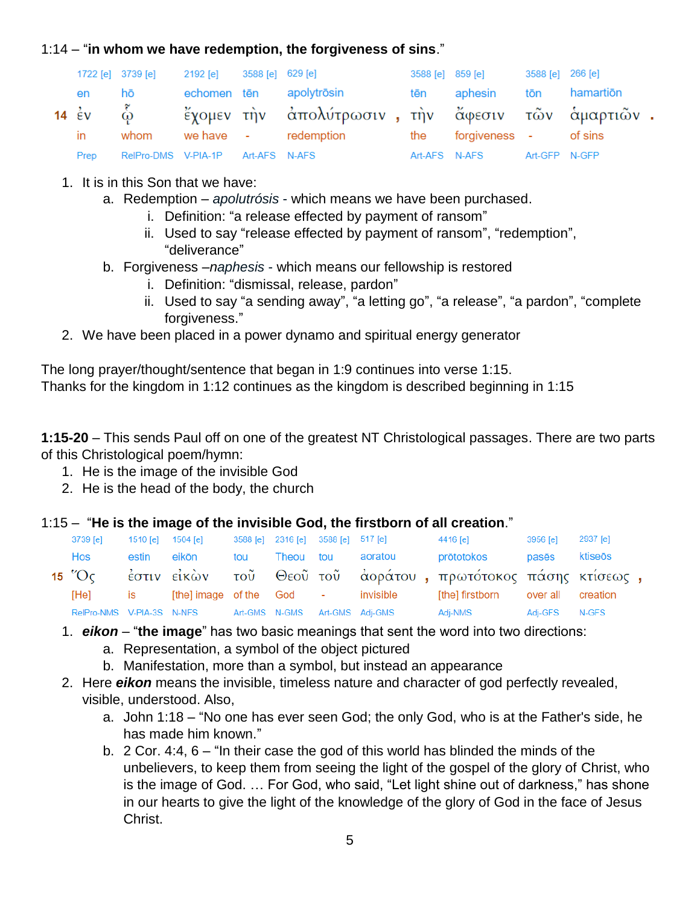#### 1:14 – "**in whom we have redemption, the forgiveness of sins**."

|      | 1722 [e] 3739 [e]                 | 2192 [e]    | 3588 [e] 629 [e] |                                                            |     | 3588 [e] 859 [e]      | 3588 [e] 266 [e] |  |
|------|-----------------------------------|-------------|------------------|------------------------------------------------------------|-----|-----------------------|------------------|--|
| en   | hō                                | echomen tēn |                  | apolytrōsin                                                | tēn | aphesin tōn hamartiōn |                  |  |
|      |                                   |             |                  | 14 έν φ - έχομεν την απολύτρωσιν, την άφεσιν των αμαρτιών. |     |                       |                  |  |
| in   | whom                              |             |                  | we have $\qquad$ - redemption the forgiveness - of sins    |     |                       |                  |  |
| Prep | RelPro-DMS V-PIA-1P Art-AFS N-AFS |             |                  |                                                            |     | Art-AFS N-AFS         | Art-GFP N-GFP    |  |

- 1. It is in this Son that we have:
	- a. Redemption *apolutrósis* which means we have been purchased.
		- i. Definition: "a release effected by payment of ransom"
		- ii. Used to say "release effected by payment of ransom", "redemption", "deliverance"
	- b. Forgiveness –*naphesis* which means our fellowship is restored
		- i. Definition: "dismissal, release, pardon"
		- ii. Used to say "a sending away", "a letting go", "a release", "a pardon", "complete forgiveness."
- 2. We have been placed in a power dynamo and spiritual energy generator

The long prayer/thought/sentence that began in 1:9 continues into verse 1:15. Thanks for the kingdom in 1:12 continues as the kingdom is described beginning in 1:15

**1:15-20** – This sends Paul off on one of the greatest NT Christological passages. There are two parts of this Christological poem/hymn:

- 1. He is the image of the invisible God
- 2. He is the head of the body, the church

### 1:15 – "**He is the image of the invisible God, the firstborn of all creation**."

| 3739 [e]                | 1510 [e] 1504 [e]      |                           |     | 3588 [e] 2316 [e] 3588 [e] 517 [e] |                                    | 4416 [e]                                                    | 3956 [e]      | 2937 [e] |  |
|-------------------------|------------------------|---------------------------|-----|------------------------------------|------------------------------------|-------------------------------------------------------------|---------------|----------|--|
| Hos                     | estin                  | eikōn                     | tou | Theou tou                          | aoratou                            | prōtotokos                                                  | pasēs         | ktiseōs  |  |
| 15 $^{\prime\prime}$ Oc |                        |                           |     |                                    |                                    | έστιν είκὼν τοῦ Θεοῦ τοῦ ἀοράτου, πρωτότοκος πάσης κτίσεως, |               |          |  |
| [He]                    | is a factor of the set |                           |     |                                    | [the] image of the God - invisible | [the] firstborn over all creation                           |               |          |  |
|                         |                        | RelPro-NMS V-PIA-3S N-NFS |     |                                    | Art-GMS N-GMS Art-GMS Adj-GMS      | Adj-NMS                                                     | Adj-GFS N-GFS |          |  |

- 1. *eikon* "**the image**" has two basic meanings that sent the word into two directions:
	- a. Representation, a symbol of the object pictured
	- b. Manifestation, more than a symbol, but instead an appearance
- 2. Here *eikon* means the invisible, timeless nature and character of god perfectly revealed, visible, understood. Also,
	- a. John 1:18 "No one has ever seen God; the only God, who is at the Father's side, he has made him known."
	- b. 2 Cor. 4:4, 6 "In their case the god of this world has blinded the minds of the unbelievers, to keep them from seeing the light of the gospel of the glory of Christ, who is the image of God. … For God, who said, "Let light shine out of darkness," has shone in our hearts to give the light of the knowledge of the glory of God in the face of Jesus Christ.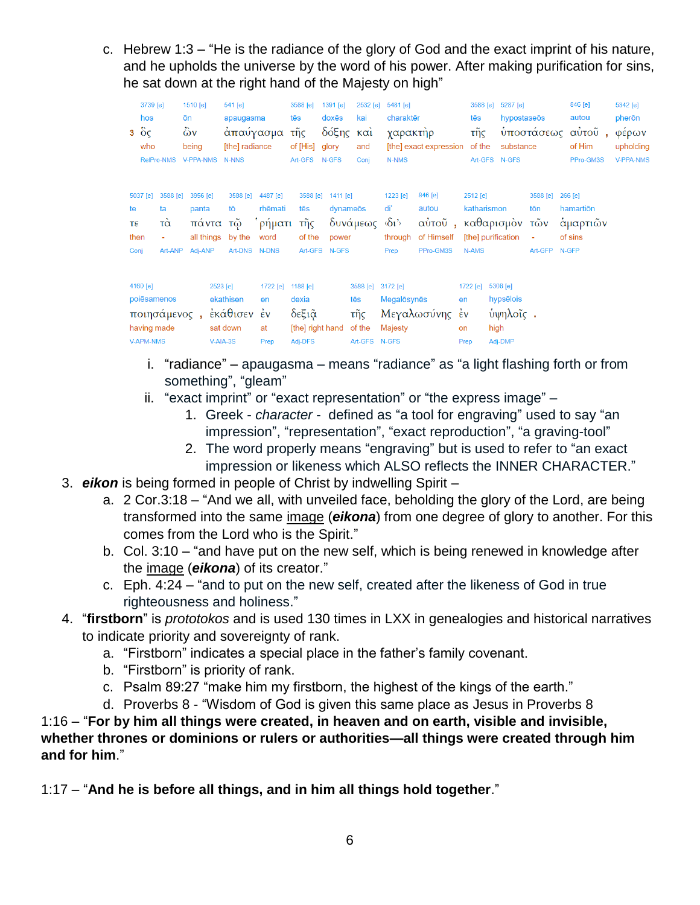c. Hebrew 1:3 – "He is the radiance of the glory of God and the exact imprint of his nature, and he upholds the universe by the word of his power. After making purification for sins, he sat down at the right hand of the Majesty on high"

| hos<br>$3\degree$ $\degree$ $\degree$ | 3739 [e]<br>who<br><b>RelPro-NMS</b>                           | 1510 [e]<br>ōn<br>$\ddot{\omega}$ v<br>being<br><b>V-PPA-NMS</b> |                                            | 541 [e]<br>apaugasma<br>απαύγασμα<br>[the] radiance<br><b>N-NNS</b> |                                       | 3588 [e]<br>tēs<br>τῆς<br>of [His]<br>Art-GFS               | 1391 [e]<br>doxēs<br>δόξης<br>glory<br>N-GFS   | 2532 [e]<br>kai<br>$k\alpha i$<br>and<br>Coni     | 5481 [e]<br>charaktēr<br>χαρακτὴρ<br>N-NMS                       | [the] exact expression                                               | 3588 [e]<br>tēs<br>τῆς<br>of the | 5287 [e]<br>hypostaseōs<br>substance<br>Art-GFS N-GFS | υποστάσεως                                         | 846 [e]<br>autou<br>αὐτοῦ,<br>of Him<br>PPro-GM3S | 5342 [e]<br>pherōn<br>φέρων<br>upholding<br><b>V-PPA-NMS</b> |
|---------------------------------------|----------------------------------------------------------------|------------------------------------------------------------------|--------------------------------------------|---------------------------------------------------------------------|---------------------------------------|-------------------------------------------------------------|------------------------------------------------|---------------------------------------------------|------------------------------------------------------------------|----------------------------------------------------------------------|----------------------------------|-------------------------------------------------------|----------------------------------------------------|---------------------------------------------------|--------------------------------------------------------------|
| 5037 [e]<br>te<br>τε<br>then<br>Conj  | 3588 [e]<br>ta<br>$T\alpha$<br>Art-ANP                         | panta                                                            | 3956 [e]<br>πάντα<br>all things<br>Adj-ANP | 3588 [e]<br>tō<br>τŵ<br>by the<br>Art-DNS N-DNS                     | 4487 [e]<br>rhēmati<br>ρήματι<br>word | 3588 [e]<br>tēs<br>τῆς<br>of the                            | 1411 [e]<br>dynameōs<br>power<br>Art-GFS N-GFS | δυνάμεως                                          | 1223 [e]<br>di'<br>$\langle \delta_1 \rangle$<br>through<br>Prep | 846 [e]<br>autou<br>αύτοῦ, καθαρισμὸν τῶν<br>of Himself<br>PPro-GM3S | 2512 [e]<br>katharismon<br>N-AMS | [the] purification                                    | 3588 [e]<br>tōn<br>$\blacksquare$<br>Art-GFP N-GFP | 266 [e]<br>hamartion<br>αμαρτιών<br>of sins       |                                                              |
| 4160 [e]                              | poiēsamenos<br>ποιησάμενος,<br>having made<br><b>V-APM-NMS</b> |                                                                  | 2523 [e]                                   | ekathisen<br>έκάθισεν έν<br>sat down<br>V-AIA-3S                    | 1722 [e]<br>en<br>at<br>Prep          | 1188 $[e]$<br>dexia<br>δεξιᾶ<br>[the] right hand<br>Adj-DFS |                                                | 3588 [e]<br>tēs<br>τῆς<br>of the<br>Art-GFS N-GFS | 3172 [e]<br>Megalosynes<br>Majesty                               | Μεγαλωσύνης έν                                                       | 1722 [e]<br>en<br>on<br>Prep     | 5308 [e]<br>hypsēlois<br>ύψηλοΐς.<br>high<br>Adj-DMP  |                                                    |                                                   |                                                              |

- i. "radiance" apaugasma means "radiance" as "a light flashing forth or from something", "gleam"
- ii. "exact imprint" or "exact representation" or "the express image"
	- 1. Greek *character* defined as "a tool for engraving" used to say "an impression", "representation", "exact reproduction", "a graving-tool"
	- 2. The word properly means "engraving" but is used to refer to "an exact impression or likeness which ALSO reflects the INNER CHARACTER."
- 3. *eikon* is being formed in people of Christ by indwelling Spirit
	- a. 2 Cor.3:18 "And we all, with unveiled face, beholding the glory of the Lord, are being transformed into the same image (*eikona*) from one degree of glory to another. For this comes from the Lord who is the Spirit."
	- b. Col. 3:10 "and have put on the new self, which is being renewed in knowledge after the image (*eikona*) of its creator."
	- c. Eph. 4:24 "and to put on the new self, created after the likeness of God in true righteousness and holiness."
- 4. "**firstborn**" is *prototokos* and is used 130 times in LXX in genealogies and historical narratives to indicate priority and sovereignty of rank.
	- a. "Firstborn" indicates a special place in the father's family covenant.
	- b. "Firstborn" is priority of rank.
	- c. Psalm 89:27 "make him my firstborn, the highest of the kings of the earth."
	- d. Proverbs 8 "Wisdom of God is given this same place as Jesus in Proverbs 8

1:16 – "**For by him all things were created, in heaven and on earth, visible and invisible, whether thrones or dominions or rulers or authorities—all things were created through him and for him**."

1:17 – "**And he is before all things, and in him all things hold together**."